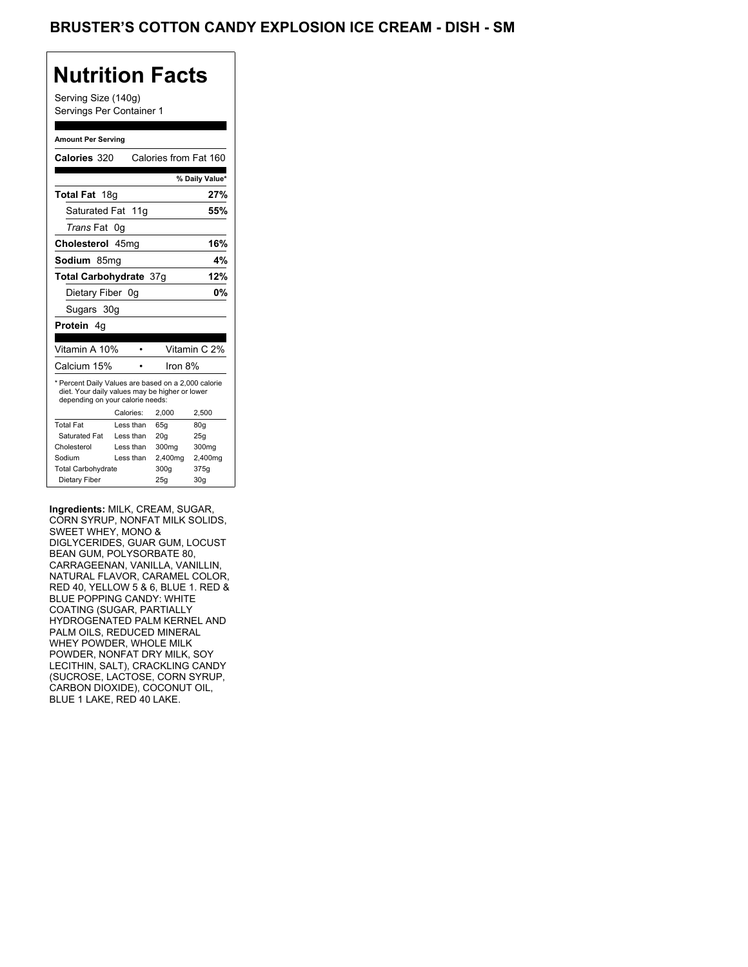### Brusters Cotton Candy Ice, Dish Regular Explosion IC, Dish Regular

## **Nutrition Facts**

#### **Amount Per Serving**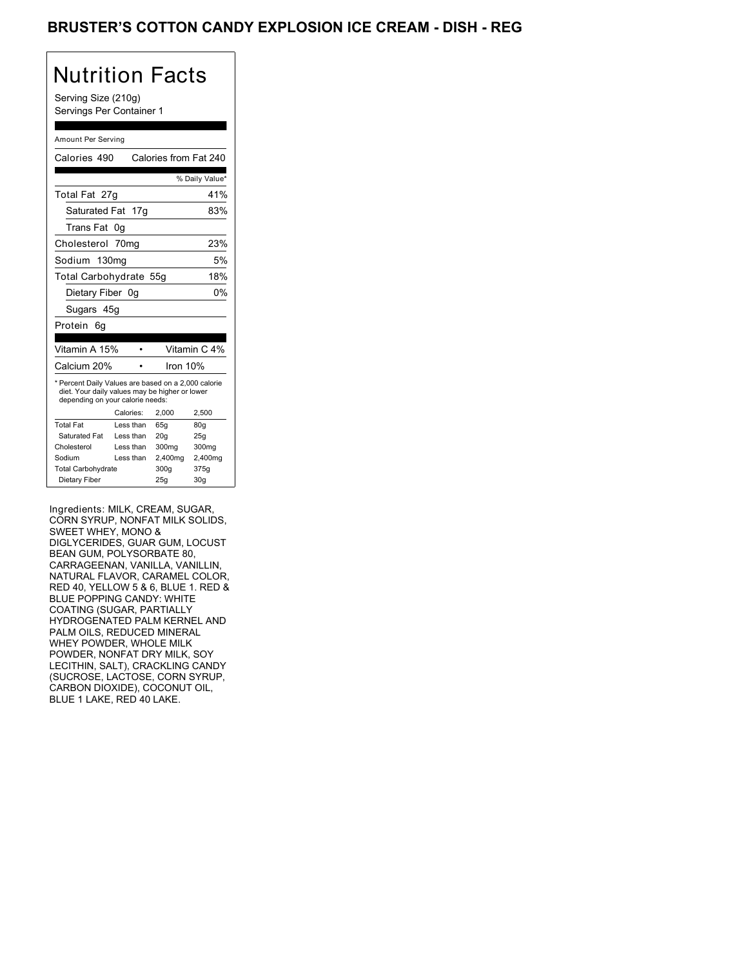### Brusters Cotton Candy Ice, Dish Regular +1 Explosion IC, Dish Regular +1

## Nutrition Facts

### Amount Per Serving

| <b>Nutrition Facts</b>                                                                                                                                                                                                                                                                                                                                                                                                                                                                                                                                  |                        |                       |                 |
|---------------------------------------------------------------------------------------------------------------------------------------------------------------------------------------------------------------------------------------------------------------------------------------------------------------------------------------------------------------------------------------------------------------------------------------------------------------------------------------------------------------------------------------------------------|------------------------|-----------------------|-----------------|
| Serving Size (210g)                                                                                                                                                                                                                                                                                                                                                                                                                                                                                                                                     |                        |                       |                 |
| Servings Per Container 1                                                                                                                                                                                                                                                                                                                                                                                                                                                                                                                                |                        |                       |                 |
| Amount Per Serving                                                                                                                                                                                                                                                                                                                                                                                                                                                                                                                                      |                        |                       |                 |
| Calories 490                                                                                                                                                                                                                                                                                                                                                                                                                                                                                                                                            |                        | Calories from Fat 240 |                 |
|                                                                                                                                                                                                                                                                                                                                                                                                                                                                                                                                                         |                        |                       | % Daily Value*  |
| Total Fat 27g                                                                                                                                                                                                                                                                                                                                                                                                                                                                                                                                           |                        |                       | 41%             |
| Saturated Fat 17g                                                                                                                                                                                                                                                                                                                                                                                                                                                                                                                                       |                        |                       | 83%             |
| Trans Fat 0g                                                                                                                                                                                                                                                                                                                                                                                                                                                                                                                                            |                        |                       |                 |
| Cholesterol 70mg                                                                                                                                                                                                                                                                                                                                                                                                                                                                                                                                        |                        |                       | 23%             |
| Sodium 130mg                                                                                                                                                                                                                                                                                                                                                                                                                                                                                                                                            |                        |                       | 5%              |
| Total Carbohydrate 55g                                                                                                                                                                                                                                                                                                                                                                                                                                                                                                                                  |                        |                       | 18%             |
| Dietary Fiber 0g                                                                                                                                                                                                                                                                                                                                                                                                                                                                                                                                        |                        |                       | 0%              |
| Sugars 45g                                                                                                                                                                                                                                                                                                                                                                                                                                                                                                                                              |                        |                       |                 |
| Protein 6g                                                                                                                                                                                                                                                                                                                                                                                                                                                                                                                                              |                        |                       |                 |
| Vitamin A 15%                                                                                                                                                                                                                                                                                                                                                                                                                                                                                                                                           | $\bullet$              |                       | Vitamin C 4%    |
| Calcium 20%                                                                                                                                                                                                                                                                                                                                                                                                                                                                                                                                             | $\bullet$              | Iron 10%              |                 |
| * Percent Daily Values are based on a 2,000 calorie<br>diet. Your daily values may be higher or lower                                                                                                                                                                                                                                                                                                                                                                                                                                                   |                        |                       |                 |
| depending on your calorie needs:                                                                                                                                                                                                                                                                                                                                                                                                                                                                                                                        | Calories:              | 2,000                 | 2,500           |
| <b>Total Fat</b><br>Saturated Fat                                                                                                                                                                                                                                                                                                                                                                                                                                                                                                                       | Less than<br>Less than | 65g<br>20g            | 80g<br>25g      |
| Cholesterol                                                                                                                                                                                                                                                                                                                                                                                                                                                                                                                                             | Less than              | 300mg                 | 300mg           |
| Sodium<br><b>Total Carbohydrate</b>                                                                                                                                                                                                                                                                                                                                                                                                                                                                                                                     | Less than              | 2,400mg<br>300g       | 2,400mg<br>375g |
| Dietary Fiber                                                                                                                                                                                                                                                                                                                                                                                                                                                                                                                                           |                        | 25g                   | 30 <sub>g</sub> |
| CORN SYRUP, NONFAT MILK SOLIDS,<br>SWEET WHEY, MONO &<br>DIGLYCERIDES, GUAR GUM, LOCUST<br>BEAN GUM, POLYSORBATE 80,<br>CARRAGEENAN, VANILLA, VANILLIN,<br>NATURAL FLAVOR, CARAMEL COLOR,<br>RED 40, YELLOW 5 & 6, BLUE 1. RED &<br>BLUE POPPING CANDY: WHITE<br>COATING (SUGAR, PARTIALLY<br>HYDROGENATED PALM KERNEL AND<br>PALM OILS, REDUCED MINERAL<br>WHEY POWDER, WHOLE MILK<br>POWDER, NONFAT DRY MILK, SOY<br>LECITHIN, SALT), CRACKLING CANDY<br>(SUCROSE, LACTOSE, CORN SYRUP,<br>CARBON DIOXIDE), COCONUT OIL,<br>BLUE 1 LAKE, RED 40 LAKE. |                        |                       |                 |
|                                                                                                                                                                                                                                                                                                                                                                                                                                                                                                                                                         |                        |                       |                 |
|                                                                                                                                                                                                                                                                                                                                                                                                                                                                                                                                                         |                        |                       |                 |
|                                                                                                                                                                                                                                                                                                                                                                                                                                                                                                                                                         |                        |                       |                 |
|                                                                                                                                                                                                                                                                                                                                                                                                                                                                                                                                                         |                        |                       |                 |
|                                                                                                                                                                                                                                                                                                                                                                                                                                                                                                                                                         |                        |                       |                 |
|                                                                                                                                                                                                                                                                                                                                                                                                                                                                                                                                                         |                        |                       |                 |
|                                                                                                                                                                                                                                                                                                                                                                                                                                                                                                                                                         |                        |                       |                 |
|                                                                                                                                                                                                                                                                                                                                                                                                                                                                                                                                                         |                        |                       |                 |
|                                                                                                                                                                                                                                                                                                                                                                                                                                                                                                                                                         |                        |                       |                 |
|                                                                                                                                                                                                                                                                                                                                                                                                                                                                                                                                                         |                        |                       |                 |
|                                                                                                                                                                                                                                                                                                                                                                                                                                                                                                                                                         |                        |                       |                 |
|                                                                                                                                                                                                                                                                                                                                                                                                                                                                                                                                                         |                        |                       |                 |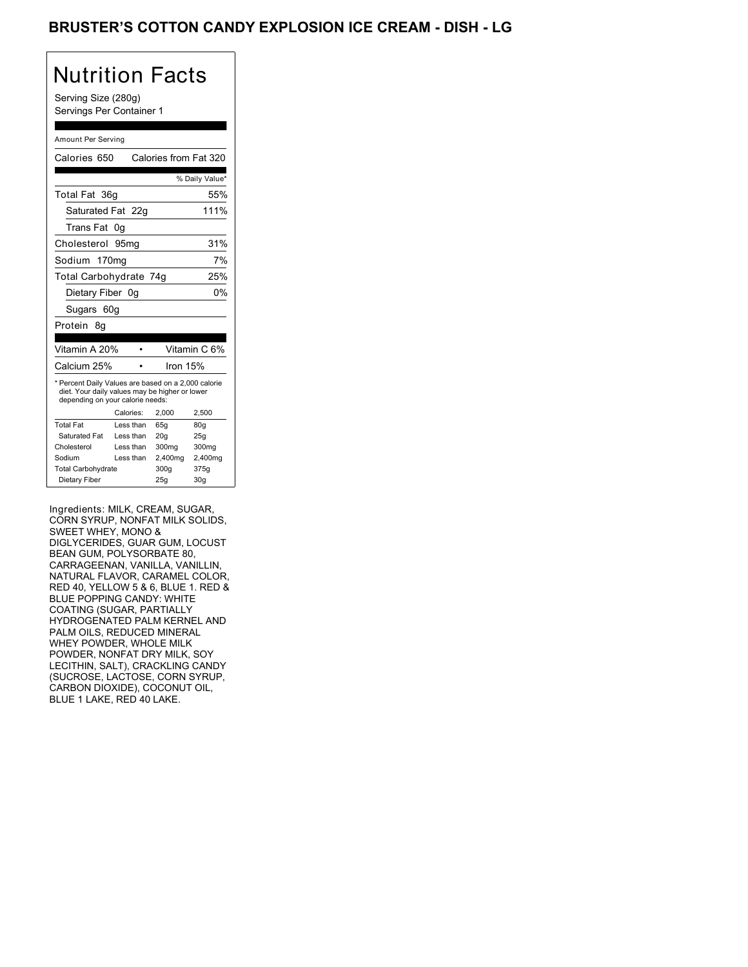### Brusters Cotton Candy Ice, Dish Regular +2 Explosion IC, Dish Regular +2

# Nutrition Facts

#### Amount Per Serving

| Serving Size (280g)<br>Servings Per Container 1<br>Amount Per Serving<br>Calories 650<br>Calories from Fat 320<br>% Daily Value*<br>Total Fat 36g<br>55%<br>111%<br>Saturated Fat 22g<br>Trans Fat 0g<br>31%<br>Cholesterol 95mg<br>7%<br>Sodium 170mg<br>25%<br>Total Carbohydrate 74g<br>0%<br>Dietary Fiber 0g<br>Sugars 60g<br>Vitamin A 20%<br>Vitamin C 6%<br>$\bullet$<br>Calcium 25%<br>Iron 15%<br>$\bullet$<br>* Percent Daily Values are based on a 2,000 calorie                                                                            |
|---------------------------------------------------------------------------------------------------------------------------------------------------------------------------------------------------------------------------------------------------------------------------------------------------------------------------------------------------------------------------------------------------------------------------------------------------------------------------------------------------------------------------------------------------------|
|                                                                                                                                                                                                                                                                                                                                                                                                                                                                                                                                                         |
|                                                                                                                                                                                                                                                                                                                                                                                                                                                                                                                                                         |
|                                                                                                                                                                                                                                                                                                                                                                                                                                                                                                                                                         |
|                                                                                                                                                                                                                                                                                                                                                                                                                                                                                                                                                         |
|                                                                                                                                                                                                                                                                                                                                                                                                                                                                                                                                                         |
|                                                                                                                                                                                                                                                                                                                                                                                                                                                                                                                                                         |
|                                                                                                                                                                                                                                                                                                                                                                                                                                                                                                                                                         |
|                                                                                                                                                                                                                                                                                                                                                                                                                                                                                                                                                         |
|                                                                                                                                                                                                                                                                                                                                                                                                                                                                                                                                                         |
|                                                                                                                                                                                                                                                                                                                                                                                                                                                                                                                                                         |
|                                                                                                                                                                                                                                                                                                                                                                                                                                                                                                                                                         |
|                                                                                                                                                                                                                                                                                                                                                                                                                                                                                                                                                         |
|                                                                                                                                                                                                                                                                                                                                                                                                                                                                                                                                                         |
|                                                                                                                                                                                                                                                                                                                                                                                                                                                                                                                                                         |
|                                                                                                                                                                                                                                                                                                                                                                                                                                                                                                                                                         |
|                                                                                                                                                                                                                                                                                                                                                                                                                                                                                                                                                         |
| diet. Your daily values may be higher or lower                                                                                                                                                                                                                                                                                                                                                                                                                                                                                                          |
| depending on your calorie needs:<br>2,000<br>2,500<br>Calories:                                                                                                                                                                                                                                                                                                                                                                                                                                                                                         |
| 65g<br>80g<br>Less than                                                                                                                                                                                                                                                                                                                                                                                                                                                                                                                                 |
| Less than<br>20g<br>25g<br>Less than<br>300mg<br>300mg                                                                                                                                                                                                                                                                                                                                                                                                                                                                                                  |
| Less than<br>2,400mg<br>2,400mg                                                                                                                                                                                                                                                                                                                                                                                                                                                                                                                         |
| 300g<br>375g<br><b>Total Carbohydrate</b><br>25g<br>30 <sub>g</sub>                                                                                                                                                                                                                                                                                                                                                                                                                                                                                     |
| CORN SYRUP, NONFAT MILK SOLIDS,<br>SWEET WHEY, MONO &<br>DIGLYCERIDES, GUAR GUM, LOCUST<br>BEAN GUM, POLYSORBATE 80,<br>CARRAGEENAN, VANILLA, VANILLIN,<br>NATURAL FLAVOR, CARAMEL COLOR,<br>RED 40, YELLOW 5 & 6, BLUE 1. RED &<br>BLUE POPPING CANDY: WHITE<br>COATING (SUGAR, PARTIALLY<br>HYDROGENATED PALM KERNEL AND<br>PALM OILS, REDUCED MINERAL<br>WHEY POWDER, WHOLE MILK<br>POWDER, NONFAT DRY MILK, SOY<br>LECITHIN, SALT), CRACKLING CANDY<br>(SUCROSE, LACTOSE, CORN SYRUP,<br>CARBON DIOXIDE), COCONUT OIL,<br>BLUE 1 LAKE, RED 40 LAKE. |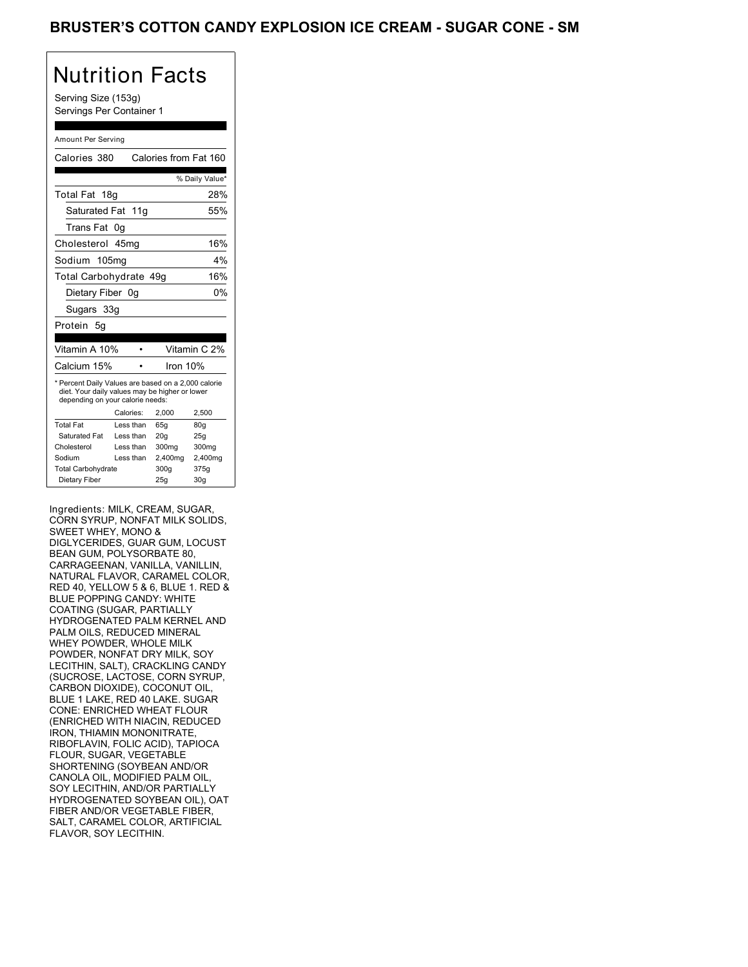### BRUSTER COUTOR CARDY EXPLOS

## Nutrition Facts

#### Amount Per Serving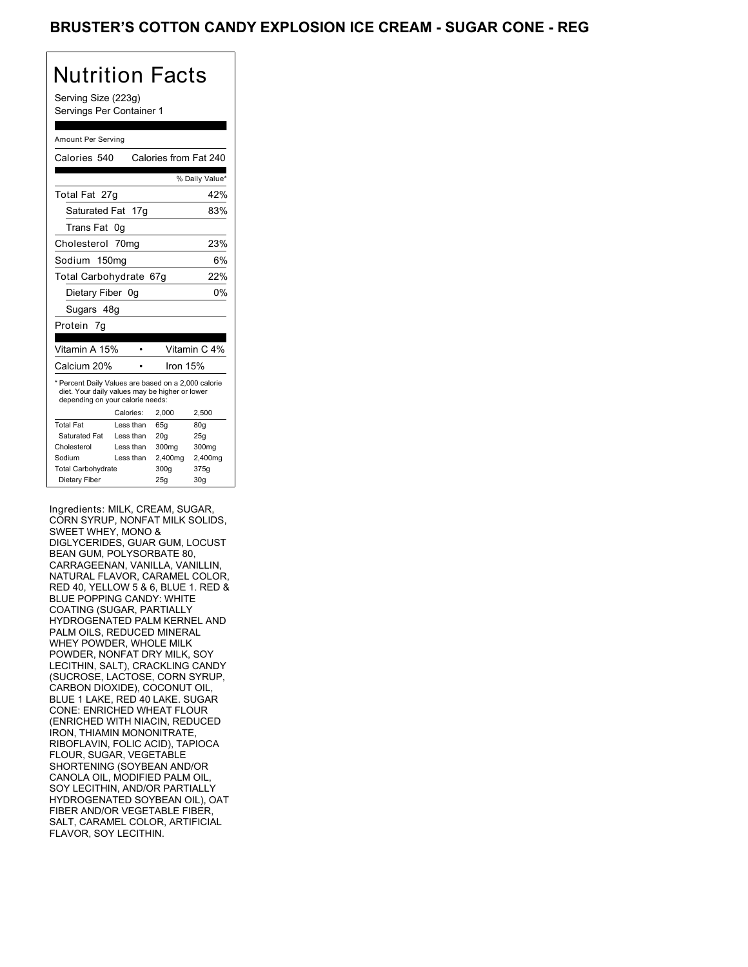### BRUSTER O OUTTON CANDY EXILLOUR

## Nutrition Facts

### Amount Per Serving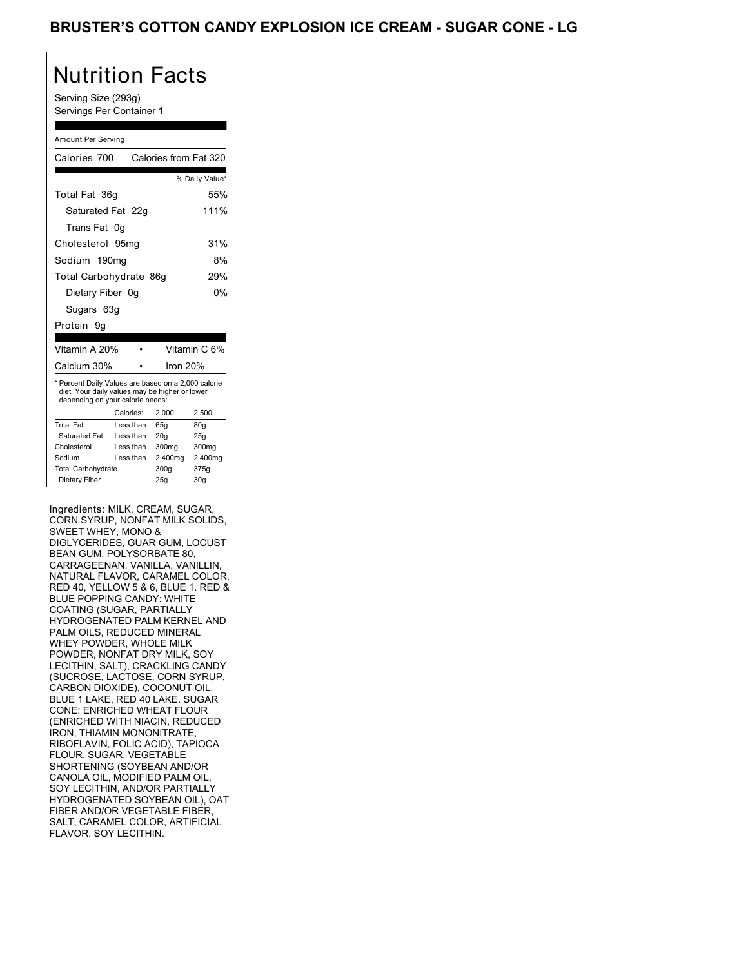### BRUSTER O OUTTON CANDY EXILLOUR

## Nutrition Facts

#### Amount Per Serving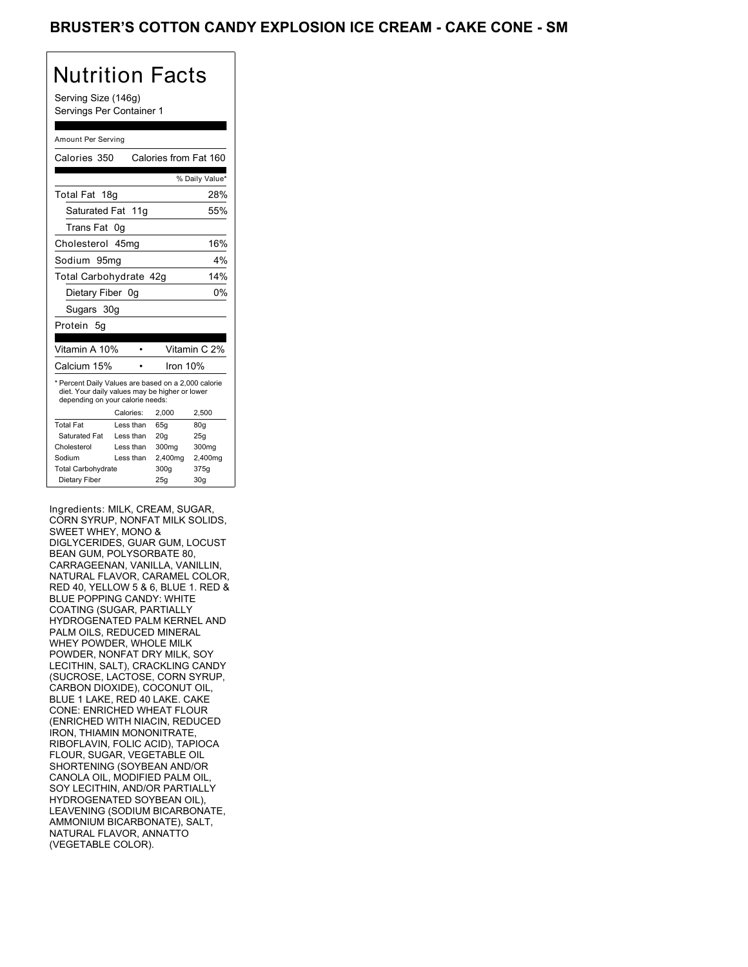### BROSTER COUTOR CARDY EXPLOS

## Nutrition Facts

Serving Size (146g) Servings Per Container 1

#### Amount Per Serving

| Calories 350                                                                                                                              |                 | Calories from Fat 160 |                 |  |  |
|-------------------------------------------------------------------------------------------------------------------------------------------|-----------------|-----------------------|-----------------|--|--|
|                                                                                                                                           |                 |                       | % Daily Value*  |  |  |
| Total Fat                                                                                                                                 | 18 <sub>g</sub> |                       | 28%             |  |  |
| Saturated Fat 11g                                                                                                                         |                 |                       | 55%             |  |  |
| Trans Fat                                                                                                                                 | 0g              |                       |                 |  |  |
| Cholesterol 45mg                                                                                                                          |                 |                       | 16%             |  |  |
| Sodium 95mq                                                                                                                               |                 |                       | 4%              |  |  |
| Total Carbohydrate 42g<br>14%                                                                                                             |                 |                       |                 |  |  |
| 0%<br>Dietary Fiber 0g                                                                                                                    |                 |                       |                 |  |  |
| Sugars 30g                                                                                                                                |                 |                       |                 |  |  |
| Protein 5g                                                                                                                                |                 |                       |                 |  |  |
|                                                                                                                                           |                 |                       |                 |  |  |
| Vitamin A 10%                                                                                                                             |                 |                       | Vitamin C 2%    |  |  |
| Calcium 15%                                                                                                                               |                 |                       | Iron 10%        |  |  |
| * Percent Daily Values are based on a 2,000 calorie<br>diet. Your daily values may be higher or lower<br>depending on your calorie needs: |                 |                       |                 |  |  |
|                                                                                                                                           | Calories:       | 2,000                 | 2,500           |  |  |
| <b>Total Fat</b>                                                                                                                          | Less than       | 65g                   | 80 <sub>g</sub> |  |  |
| Saturated Fat                                                                                                                             | Less than       | 20q                   | 25g             |  |  |
| Cholesterol                                                                                                                               | Less than       | 300mg                 | 300mg           |  |  |
| Sodium                                                                                                                                    | Less than       | 2,400mg               | 2,400mg         |  |  |
| <b>Total Carbohydrate</b>                                                                                                                 |                 | 300g                  | 375g            |  |  |
| Dietary Fiber                                                                                                                             |                 | 25g                   | 30 <sub>q</sub> |  |  |

Ingredients: MILK, CREAM, SUGAR, CORN SYRUP, NONFAT MILK SOLIDS, SWEET WHEY, MONO & DIGLYCERIDES, GUAR GUM, LOCUST BEAN GUM, POLYSORBATE 80, CARRAGEENAN, VANILLA, VANILLIN, NATURAL FLAVOR, CARAMEL COLOR, RED 40, YELLOW 5 & 6, BLUE 1. RED & BLUE POPPING CANDY: WHITE COATING (SUGAR, PARTIALLY HYDROGENATED PALM KERNEL AND PALM OILS, REDUCED MINERAL WHEY POWDER, WHOLE MILK POWDER, NONFAT DRY MILK, SOY LECITHIN, SALT), CRACKLING CANDY (SUCROSE, LACTOSE, CORN SYRUP, CARBON DIOXIDE), COCONUT OIL, BLUE 1 LAKE, RED 40 LAKE. CAKE CONE: ENRICHED WHEAT FLOUR (ENRICHED WITH NIACIN, REDUCED IRON, THIAMIN MONONITRATE, RIBOFLAVIN, FOLIC ACID), TAPIOCA FLOUR, SUGAR, VEGETABLE OIL SHORTENING (SOYBEAN AND/OR CANOLA OIL, MODIFIED PALM OIL, SOY LECITHIN, AND/OR PARTIALLY HYDROGENATED SOYBEAN OIL), LEAVENING (SODIUM BICARBONATE, AMMONIUM BICARBONATE), SALT, NATURAL FLAVOR, ANNATTO (VEGETABLE COLOR). **ERUSTER'S COTTON CANDY EXPLOSION ICE CREAM - CAKE CONE - SM**<br>
Notificantly find the context of the context of the context of the context of the context of the context of the context of the context of the context of the c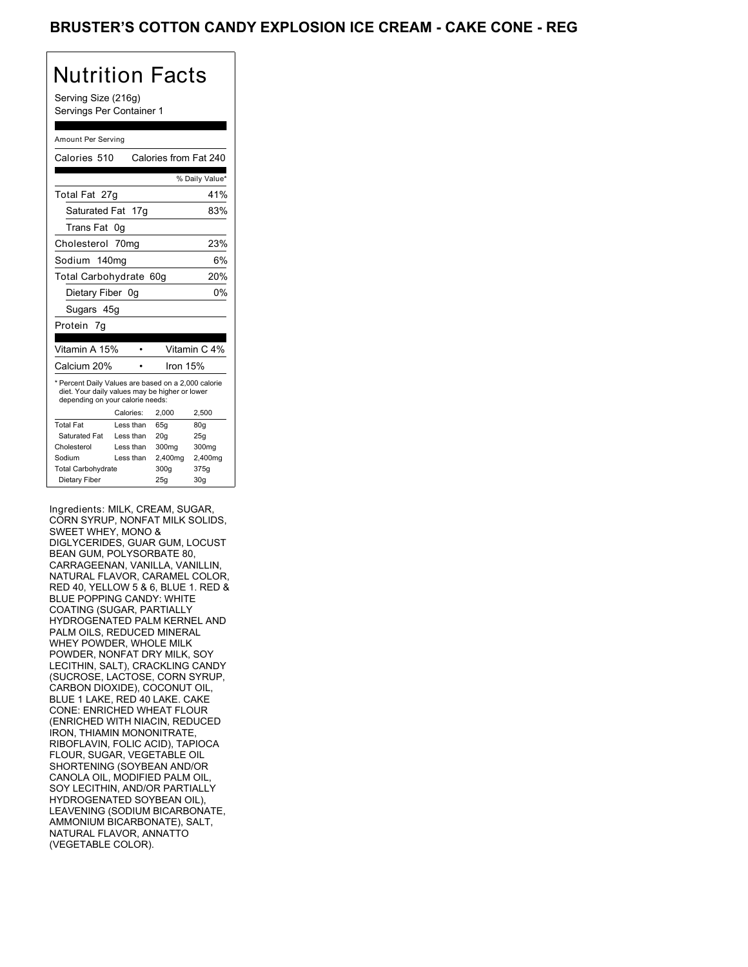### BRUSTER O OUTTUR UARDT EAT EUCH

## Nutrition Facts

Serving Size (216g) Servings Per Container 1

### Amount Per Serving

| Calories 510                                                                                                                              |           | Calories from Fat 240 |                 |  |
|-------------------------------------------------------------------------------------------------------------------------------------------|-----------|-----------------------|-----------------|--|
|                                                                                                                                           |           |                       | % Daily Value*  |  |
| Total Fat 27g                                                                                                                             |           |                       | 41%             |  |
| Saturated Fat                                                                                                                             | 17g       |                       | 83%             |  |
| Trans Fat                                                                                                                                 | 0g        |                       |                 |  |
| Cholesterol 70mg                                                                                                                          |           |                       | 23%             |  |
| Sodium                                                                                                                                    | 140ma     |                       | 6%              |  |
| Total Carbohydrate<br>20%<br>60 <sub>g</sub>                                                                                              |           |                       |                 |  |
| 0%<br>Dietary Fiber 0g                                                                                                                    |           |                       |                 |  |
| Sugars 45g                                                                                                                                |           |                       |                 |  |
| Protein 7g                                                                                                                                |           |                       |                 |  |
|                                                                                                                                           |           |                       |                 |  |
| Vitamin A 15%                                                                                                                             |           |                       | Vitamin C 4%    |  |
| Calcium 20%                                                                                                                               |           | Iron 15%              |                 |  |
| * Percent Daily Values are based on a 2,000 calorie<br>diet. Your daily values may be higher or lower<br>depending on your calorie needs: |           |                       |                 |  |
|                                                                                                                                           | Calories: | 2,000                 | 2,500           |  |
| <b>Total Fat</b>                                                                                                                          | Less than | 65q                   | 80q             |  |
| Saturated Fat                                                                                                                             | Less than | 20q                   | 25g             |  |
| Cholesterol                                                                                                                               | Less than | 300mg                 | 300mg           |  |
| Sodium                                                                                                                                    | Less than | 2,400mg               | 2,400mg         |  |
| <b>Total Carbohydrate</b>                                                                                                                 |           | 300g                  | 375g            |  |
| Dietary Fiber                                                                                                                             |           | 25q                   | 30 <sub>g</sub> |  |

Ingredients: MILK, CREAM, SUGAR, CORN SYRUP, NONFAT MILK SOLIDS, SWEET WHEY, MONO & DIGLYCERIDES, GUAR GUM, LOCUST BEAN GUM, POLYSORBATE 80, CARRAGEENAN, VANILLA, VANILLIN, NATURAL FLAVOR, CARAMEL COLOR, RED 40, YELLOW 5 & 6, BLUE 1. RED & BLUE POPPING CANDY: WHITE COATING (SUGAR, PARTIALLY HYDROGENATED PALM KERNEL AND PALM OILS, REDUCED MINERAL WHEY POWDER, WHOLE MILK POWDER, NONFAT DRY MILK, SOY LECITHIN, SALT), CRACKLING CANDY (SUCROSE, LACTOSE, CORN SYRUP, CARBON DIOXIDE), COCONUT OIL, BLUE 1 LAKE, RED 40 LAKE. CAKE CONE: ENRICHED WHEAT FLOUR (ENRICHED WITH NIACIN, REDUCED IRON, THIAMIN MONONITRATE, RIBOFLAVIN, FOLIC ACID), TAPIOCA FLOUR, SUGAR, VEGETABLE OIL SHORTENING (SOYBEAN AND/OR CANOLA OIL, MODIFIED PALM OIL, SOY LECITHIN, AND/OR PARTIALLY HYDROGENATED SOYBEAN OIL), LEAVENING (SODIUM BICARBONATE, AMMONIUM BICARBONATE), SALT, NATURAL FLAVOR, ANNATTO (VEGETABLE COLOR). **ERUSTER'S COTTON CANDY EXPLOSION ICE CREAM - CAKE CONE - REG**<br>
Northern the context of the context of the context of the context of the context of the context of the context of the context of the context of the context o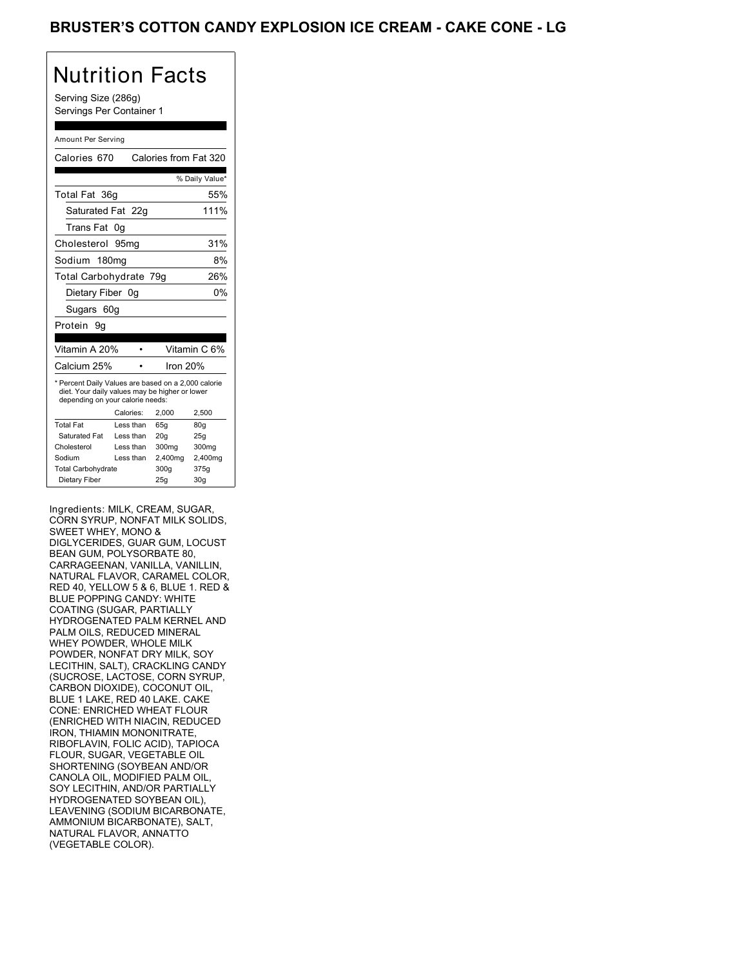### BRUSTER O OUTTUR UARDT EAT EUCH

## Nutrition Facts

Serving Size (286g) Servings Per Container 1

#### Amount Per Serving

| Calories 670                                                                                                                              |           | Calories from Fat 320 |                 |  |
|-------------------------------------------------------------------------------------------------------------------------------------------|-----------|-----------------------|-----------------|--|
|                                                                                                                                           |           |                       | % Daily Value*  |  |
| Total Fat 36g                                                                                                                             |           |                       | 55%             |  |
| Saturated Fat 22g                                                                                                                         |           |                       | 111%            |  |
| Trans Fat                                                                                                                                 | 0g        |                       |                 |  |
| Cholesterol                                                                                                                               | 95ma      |                       | 31%             |  |
| Sodium 180mg<br>8%                                                                                                                        |           |                       |                 |  |
| 26%<br>Total Carbohydrate 79g                                                                                                             |           |                       |                 |  |
| 0%<br>Dietary Fiber 0g                                                                                                                    |           |                       |                 |  |
| Sugars 60g                                                                                                                                |           |                       |                 |  |
| Protein<br>9g                                                                                                                             |           |                       |                 |  |
|                                                                                                                                           |           |                       |                 |  |
| Vitamin A 20%                                                                                                                             |           |                       | Vitamin C 6%    |  |
| Calcium 25%                                                                                                                               |           | Iron 20%              |                 |  |
| * Percent Daily Values are based on a 2,000 calorie<br>diet. Your daily values may be higher or lower<br>depending on your calorie needs: |           |                       |                 |  |
|                                                                                                                                           | Calories: | 2.000                 | 2,500           |  |
| <b>Total Fat</b>                                                                                                                          | Less than | 65q                   | 80q             |  |
| Saturated Fat                                                                                                                             | Less than | 20 <sub>g</sub>       | 25g             |  |
| Cholesterol                                                                                                                               | Less than | 300mg                 | 300mg           |  |
| Sodium                                                                                                                                    | Less than | 2,400mg               | 2,400mg         |  |
| <b>Total Carbohydrate</b>                                                                                                                 |           | 300g                  | 375g            |  |
| Dietary Fiber                                                                                                                             |           | 25q                   | 30 <sub>q</sub> |  |

Ingredients: MILK, CREAM, SUGAR, CORN SYRUP, NONFAT MILK SOLIDS, SWEET WHEY, MONO & DIGLYCERIDES, GUAR GUM, LOCUST BEAN GUM, POLYSORBATE 80, CARRAGEENAN, VANILLA, VANILLIN, NATURAL FLAVOR, CARAMEL COLOR, RED 40, YELLOW 5 & 6, BLUE 1. RED & BLUE POPPING CANDY: WHITE COATING (SUGAR, PARTIALLY HYDROGENATED PALM KERNEL AND PALM OILS, REDUCED MINERAL WHEY POWDER, WHOLE MILK POWDER, NONFAT DRY MILK, SOY LECITHIN, SALT), CRACKLING CANDY (SUCROSE, LACTOSE, CORN SYRUP, CARBON DIOXIDE), COCONUT OIL, BLUE 1 LAKE, RED 40 LAKE. CAKE CONE: ENRICHED WHEAT FLOUR (ENRICHED WITH NIACIN, REDUCED IRON, THIAMIN MONONITRATE, RIBOFLAVIN, FOLIC ACID), TAPIOCA FLOUR, SUGAR, VEGETABLE OIL SHORTENING (SOYBEAN AND/OR CANOLA OIL, MODIFIED PALM OIL, SOY LECITHIN, AND/OR PARTIALLY HYDROGENATED SOYBEAN OIL), LEAVENING (SODIUM BICARBONATE, AMMONIUM BICARBONATE), SALT, NATURAL FLAVOR, ANNATTO (VEGETABLE COLOR). **ERUSTER'S COTTON CANDY EXPLOSION ICE CREAM - CAKE CONE - LG**<br>
Narry from Pack<br>
Sample True of the state of the state of the state of the state of the state of the state of the state of the state of the state of the state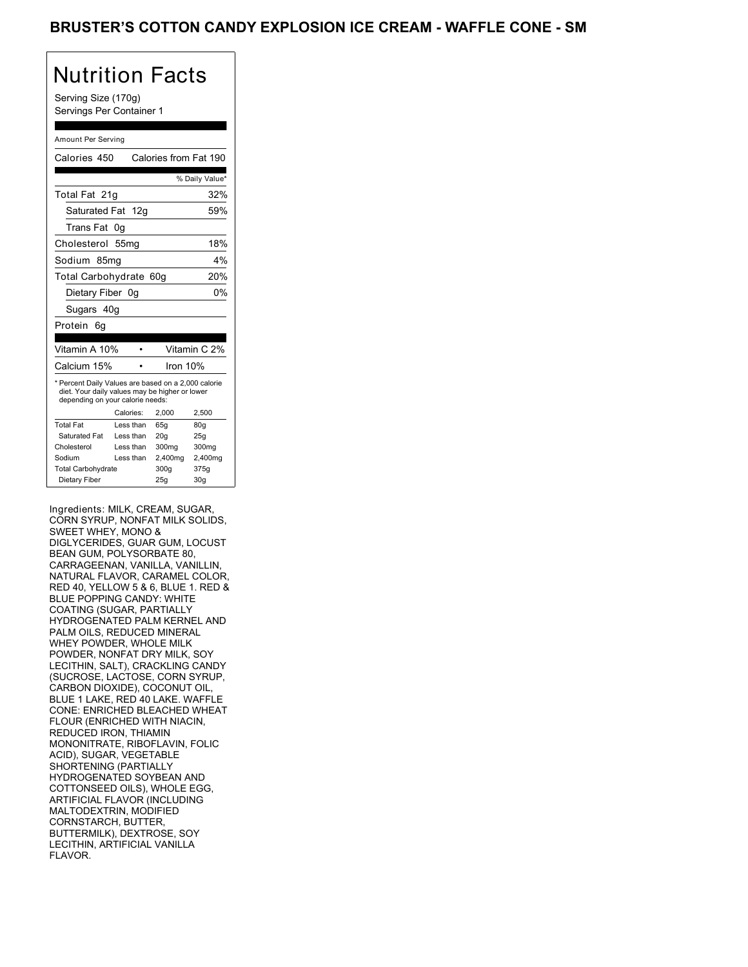## Nutrition Facts

Serving Size (170g) Servings Per Container 1

### Amount Per Serving

| Calories 450                                                                                                                              |           |                 | Calories from Fat 190 |  |
|-------------------------------------------------------------------------------------------------------------------------------------------|-----------|-----------------|-----------------------|--|
|                                                                                                                                           |           |                 | % Daily Value*        |  |
| Total Fat 21g                                                                                                                             |           |                 | 32%                   |  |
| Saturated Fat 12g                                                                                                                         |           |                 | 59%                   |  |
| Trans Fat                                                                                                                                 | 0g        |                 |                       |  |
| Cholesterol 55mg                                                                                                                          |           |                 | 18%                   |  |
| Sodium 85mg                                                                                                                               |           |                 | 4%                    |  |
| Total Carbohydrate 60g<br>20%                                                                                                             |           |                 |                       |  |
| 0%<br>Dietary Fiber 0g                                                                                                                    |           |                 |                       |  |
| Sugars 40g                                                                                                                                |           |                 |                       |  |
| Protein<br>6g                                                                                                                             |           |                 |                       |  |
|                                                                                                                                           |           |                 |                       |  |
| Vitamin A 10%                                                                                                                             |           |                 | Vitamin C 2%          |  |
| Calcium 15%                                                                                                                               |           |                 | Iron 10%              |  |
| * Percent Daily Values are based on a 2,000 calorie<br>diet. Your daily values may be higher or lower<br>depending on your calorie needs: |           |                 |                       |  |
|                                                                                                                                           | Calories: | 2,000           | 2,500                 |  |
| <b>Total Fat</b>                                                                                                                          | Less than | 65q             | 80q                   |  |
| Saturated Fat                                                                                                                             | Less than | 20 <sub>g</sub> | 25g                   |  |
| Cholesterol                                                                                                                               | Less than | 300mg           | 300mg                 |  |
| Sodium                                                                                                                                    | Less than | 2,400mg         | 2,400mg               |  |
| <b>Total Carbohydrate</b>                                                                                                                 |           |                 |                       |  |
|                                                                                                                                           |           | 300g            | 375g                  |  |

Ingredients: MILK, CREAM, SUGAR, CORN SYRUP, NONFAT MILK SOLIDS, SWEET WHEY, MONO & DIGLYCERIDES, GUAR GUM, LOCUST BEAN GUM, POLYSORBATE 80, CARRAGEENAN, VANILLA, VANILLIN, NATURAL FLAVOR, CARAMEL COLOR, RED 40, YELLOW 5 & 6, BLUE 1. RED & BLUE POPPING CANDY: WHITE COATING (SUGAR, PARTIALLY HYDROGENATED PALM KERNEL AND PALM OILS, REDUCED MINERAL WHEY POWDER, WHOLE MILK POWDER, NONFAT DRY MILK, SOY LECITHIN, SALT), CRACKLING CANDY (SUCROSE, LACTOSE, CORN SYRUP, CARBON DIOXIDE), COCONUT OIL, BLUE 1 LAKE, RED 40 LAKE. WAFFLE CONE: ENRICHED BLEACHED WHEAT FLOUR (ENRICHED WITH NIACIN, REDUCED IRON, THIAMIN MONONITRATE, RIBOFLAVIN, FOLIC ACID), SUGAR, VEGETABLE SHORTENING (PARTIALLY HYDROGENATED SOYBEAN AND COTTONSEED OILS), WHOLE EGG, ARTIFICIAL FLAVOR (INCLUDING MALTODEXTRIN, MODIFIED CORNSTARCH, BUTTER, BUTTERMILK), DEXTROSE, SOY LECITHIN, ARTIFICIAL VANILLA FLAVOR. **ERUSTER'S COTTON CANDY EXPLOSION ICE CREAM - WAFFLE CONE - SM**<br>
Northern first of the state of the state of the state of the state of the state of the state of the state of the state of the state of the state of the stat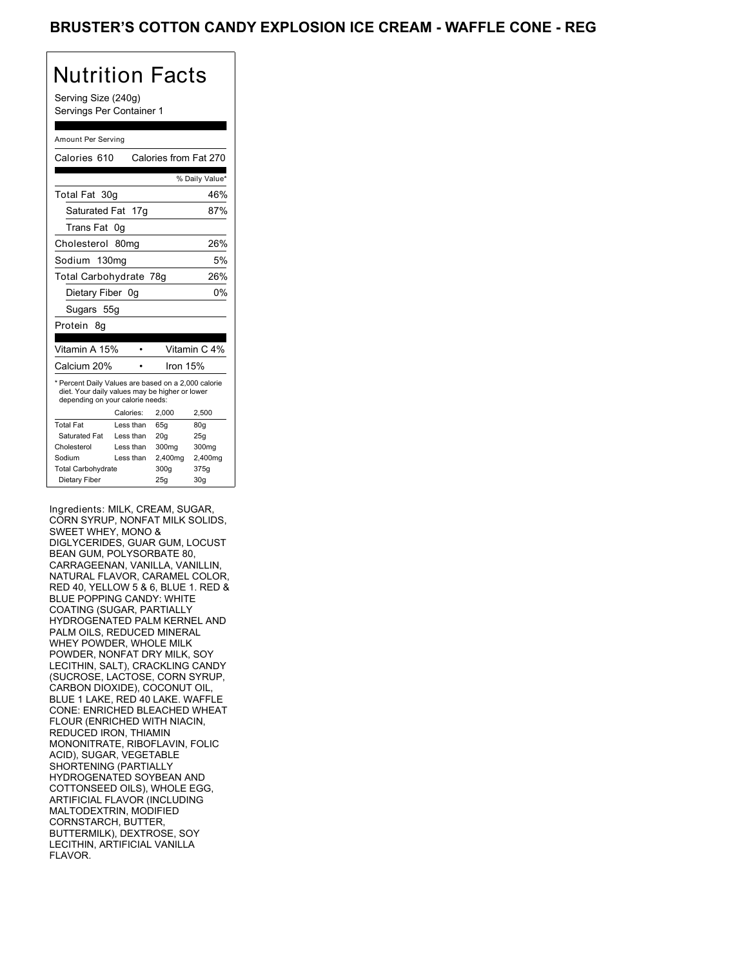### BROSTER O OOTTON CANDY EXTEQUION

## Nutrition Facts

Serving Size (240g) Servings Per Container 1

#### Amount Per Serving

| Calories 610                                                                                                                              |                               |                 |          | Calories from Fat 270 |  |
|-------------------------------------------------------------------------------------------------------------------------------------------|-------------------------------|-----------------|----------|-----------------------|--|
|                                                                                                                                           |                               |                 |          | % Daily Value*        |  |
| Total Fat 30g                                                                                                                             |                               |                 |          | 46%                   |  |
| Saturated Fat 17g                                                                                                                         |                               |                 |          | 87%                   |  |
| Trans Fat                                                                                                                                 | 0g                            |                 |          |                       |  |
| Cholesterol 80mg                                                                                                                          |                               |                 |          | 26%                   |  |
| Sodium 130mg                                                                                                                              | 5%                            |                 |          |                       |  |
|                                                                                                                                           | Total Carbohydrate 78g<br>26% |                 |          |                       |  |
| 0%<br>Dietary Fiber 0g                                                                                                                    |                               |                 |          |                       |  |
| Sugars 55g                                                                                                                                |                               |                 |          |                       |  |
| Protein<br>8g                                                                                                                             |                               |                 |          |                       |  |
|                                                                                                                                           |                               |                 |          |                       |  |
| Vitamin A 15%                                                                                                                             |                               |                 |          | Vitamin C 4%          |  |
| Calcium 20%                                                                                                                               |                               |                 | Iron 15% |                       |  |
| * Percent Daily Values are based on a 2,000 calorie<br>diet. Your daily values may be higher or lower<br>depending on your calorie needs: |                               |                 |          |                       |  |
|                                                                                                                                           | Calories:                     | 2,000           |          | 2,500                 |  |
| <b>Total Fat</b>                                                                                                                          | Less than                     | 65q             |          | 80q                   |  |
| Saturated Fat                                                                                                                             | Less than                     | 20 <sub>g</sub> |          | 25g                   |  |
| Cholesterol                                                                                                                               | Less than                     |                 | 300mg    | 300mg                 |  |
| Sodium                                                                                                                                    | Less than                     |                 | 2,400mg  | 2,400mg               |  |
| <b>Total Carbohydrate</b>                                                                                                                 |                               | 300g            |          | 375g                  |  |
| Dietary Fiber                                                                                                                             |                               | 25g             |          | 30 <sub>q</sub>       |  |

Ingredients: MILK, CREAM, SUGAR, CORN SYRUP, NONFAT MILK SOLIDS, SWEET WHEY, MONO & DIGLYCERIDES, GUAR GUM, LOCUST BEAN GUM, POLYSORBATE 80, CARRAGEENAN, VANILLA, VANILLIN, NATURAL FLAVOR, CARAMEL COLOR, RED 40, YELLOW 5 & 6, BLUE 1. RED & BLUE POPPING CANDY: WHITE COATING (SUGAR, PARTIALLY HYDROGENATED PALM KERNEL AND PALM OILS, REDUCED MINERAL WHEY POWDER, WHOLE MILK POWDER, NONFAT DRY MILK, SOY LECITHIN, SALT), CRACKLING CANDY (SUCROSE, LACTOSE, CORN SYRUP, CARBON DIOXIDE), COCONUT OIL, BLUE 1 LAKE, RED 40 LAKE. WAFFLE CONE: ENRICHED BLEACHED WHEAT FLOUR (ENRICHED WITH NIACIN, REDUCED IRON, THIAMIN MONONITRATE, RIBOFLAVIN, FOLIC ACID), SUGAR, VEGETABLE SHORTENING (PARTIALLY HYDROGENATED SOYBEAN AND COTTONSEED OILS), WHOLE EGG, ARTIFICIAL FLAVOR (INCLUDING MALTODEXTRIN, MODIFIED CORNSTARCH, BUTTER, BUTTERMILK), DEXTROSE, SOY LECITHIN, ARTIFICIAL VANILLA FLAVOR. **ERUSTER'S COTTON CANDY EXPLOSION ICE CREAM - WAFFLE CONE - REG\frac{0.044 \times 0.044 \times 0.044 \times 0.044 \times 0.044 \times 0.044 \times 0.044 \times 0.044 \times 0.044 \times 0.044 \times 0.044 \times 0.044 \times 0.044 \times 0.044 \times 0.044 \times 0.044 \times 0.044 \times 0.044 \times 0.044 \times 0.**